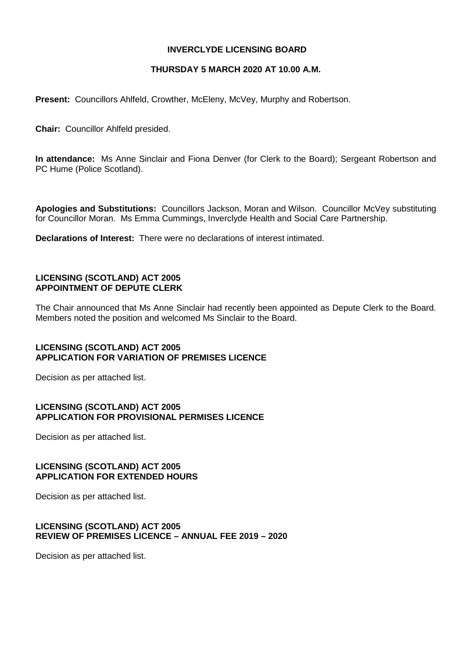# **INVERCLYDE LICENSING BOARD**

# **THURSDAY 5 MARCH 2020 AT 10.00 A.M.**

**Present:** Councillors Ahlfeld, Crowther, McEleny, McVey, Murphy and Robertson.

**Chair:** Councillor Ahlfeld presided.

**In attendance:** Ms Anne Sinclair and Fiona Denver (for Clerk to the Board); Sergeant Robertson and PC Hume (Police Scotland).

**Apologies and Substitutions:** Councillors Jackson, Moran and Wilson. Councillor McVey substituting for Councillor Moran. Ms Emma Cummings, Inverclyde Health and Social Care Partnership.

**Declarations of Interest:** There were no declarations of interest intimated.

## **LICENSING (SCOTLAND) ACT 2005 APPOINTMENT OF DEPUTE CLERK**

The Chair announced that Ms Anne Sinclair had recently been appointed as Depute Clerk to the Board. Members noted the position and welcomed Ms Sinclair to the Board.

# **LICENSING (SCOTLAND) ACT 2005 APPLICATION FOR VARIATION OF PREMISES LICENCE**

Decision as per attached list.

## **LICENSING (SCOTLAND) ACT 2005 APPLICATION FOR PROVISIONAL PERMISES LICENCE**

Decision as per attached list.

# **LICENSING (SCOTLAND) ACT 2005 APPLICATION FOR EXTENDED HOURS**

Decision as per attached list.

## **LICENSING (SCOTLAND) ACT 2005 REVIEW OF PREMISES LICENCE – ANNUAL FEE 2019 – 2020**

Decision as per attached list.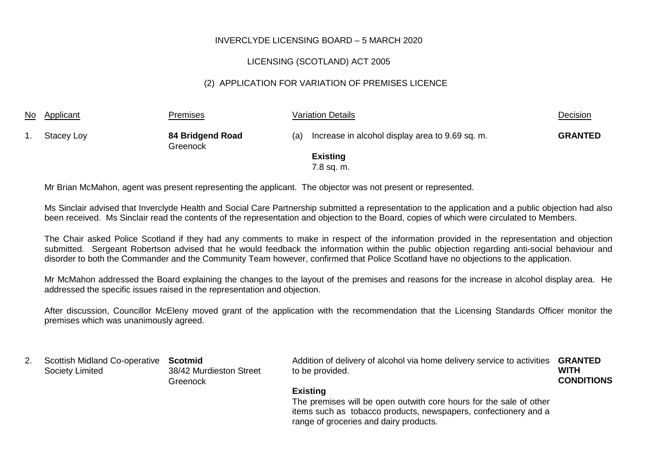# LICENSING (SCOTLAND) ACT 2005

# (2) APPLICATION FOR VARIATION OF PREMISES LICENCE

| <u>No</u> | Applicant  | <b>Premises</b>              |     | <b>Variation Details</b>                        | Decision       |
|-----------|------------|------------------------------|-----|-------------------------------------------------|----------------|
|           | Stacey Loy | 84 Bridgend Road<br>Greenock | (a) | Increase in alcohol display area to 9.69 sq. m. | <b>GRANTED</b> |
|           |            |                              |     | <b>Existing</b>                                 |                |
|           |            |                              |     | 7.8 sq. m.                                      |                |

Mr Brian McMahon, agent was present representing the applicant. The objector was not present or represented.

Ms Sinclair advised that Inverclyde Health and Social Care Partnership submitted a representation to the application and a public objection had also been received. Ms Sinclair read the contents of the representation and objection to the Board, copies of which were circulated to Members.

The Chair asked Police Scotland if they had any comments to make in respect of the information provided in the representation and objection submitted. Sergeant Robertson advised that he would feedback the information within the public objection regarding anti-social behaviour and disorder to both the Commander and the Community Team however, confirmed that Police Scotland have no objections to the application.

Mr McMahon addressed the Board explaining the changes to the layout of the premises and reasons for the increase in alcohol display area. He addressed the specific issues raised in the representation and objection.

After discussion, Councillor McEleny moved grant of the application with the recommendation that the Licensing Standards Officer monitor the premises which was unanimously agreed.

| <u>.</u> | Scottish Midland Co-operative Scotmid | 38/42 Murdieston Street | Addition of delivery of alcohol via home delivery service to activities <b>GRANTED</b> | WITH              |
|----------|---------------------------------------|-------------------------|----------------------------------------------------------------------------------------|-------------------|
|          | Society Limited                       | Greenock                | to be provided.                                                                        | <b>CONDITIONS</b> |
|          |                                       |                         | - - -                                                                                  |                   |

#### **Existing**

The premises will be open outwith core hours for the sale of other items such as tobacco products, newspapers, confectionery and a range of groceries and dairy products.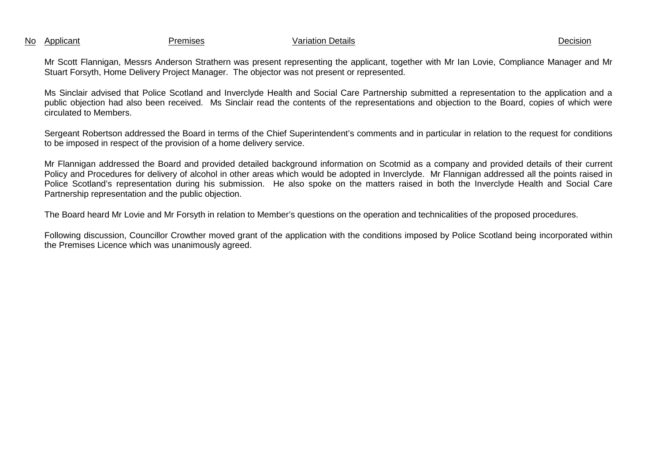No Applicant Premises Variation Details Decision

Mr Scott Flannigan, Messrs Anderson Strathern was present representing the applicant, together with Mr Ian Lovie, Compliance Manager and Mr Stuart Forsyth, Home Delivery Project Manager. The objector was not present or represented.

Ms Sinclair advised that Police Scotland and Inverclyde Health and Social Care Partnership submitted a representation to the application and a public objection had also been received. Ms Sinclair read the contents of the representations and objection to the Board, copies of which were circulated to Members.

Sergeant Robertson addressed the Board in terms of the Chief Superintendent's comments and in particular in relation to the request for conditions to be imposed in respect of the provision of a home delivery service.

Mr Flannigan addressed the Board and provided detailed background information on Scotmid as a company and provided details of their current Policy and Procedures for delivery of alcohol in other areas which would be adopted in Inverclyde. Mr Flannigan addressed all the points raised in Police Scotland's representation during his submission. He also spoke on the matters raised in both the Inverclyde Health and Social Care Partnership representation and the public objection.

The Board heard Mr Lovie and Mr Forsyth in relation to Member's questions on the operation and technicalities of the proposed procedures.

Following discussion, Councillor Crowther moved grant of the application with the conditions imposed by Police Scotland being incorporated within the Premises Licence which was unanimously agreed.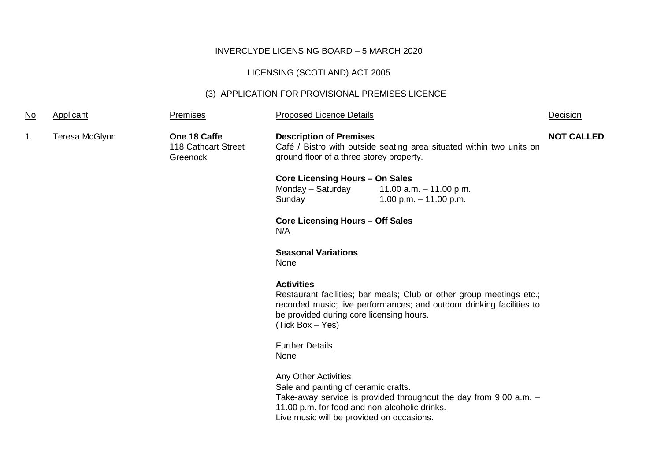# LICENSING (SCOTLAND) ACT 2005

# (3) APPLICATION FOR PROVISIONAL PREMISES LICENCE

| <u>No</u> | Applicant      | Premises                                        | <b>Proposed Licence Details</b>                                                                                                                                   |                                                                                                                                               | Decision          |
|-----------|----------------|-------------------------------------------------|-------------------------------------------------------------------------------------------------------------------------------------------------------------------|-----------------------------------------------------------------------------------------------------------------------------------------------|-------------------|
| 1.        | Teresa McGlynn | One 18 Caffe<br>118 Cathcart Street<br>Greenock | <b>Description of Premises</b><br>ground floor of a three storey property.                                                                                        | Café / Bistro with outside seating area situated within two units on                                                                          | <b>NOT CALLED</b> |
|           |                |                                                 | <b>Core Licensing Hours - On Sales</b><br>Monday - Saturday<br>Sunday                                                                                             | 11.00 a.m. $-11.00$ p.m.<br>1.00 p.m. $-$ 11.00 p.m.                                                                                          |                   |
|           |                |                                                 | <b>Core Licensing Hours - Off Sales</b><br>N/A                                                                                                                    |                                                                                                                                               |                   |
|           |                |                                                 | <b>Seasonal Variations</b><br>None                                                                                                                                |                                                                                                                                               |                   |
|           |                |                                                 | <b>Activities</b><br>be provided during core licensing hours.<br>(Tick Box - Yes)                                                                                 | Restaurant facilities; bar meals; Club or other group meetings etc.;<br>recorded music; live performances; and outdoor drinking facilities to |                   |
|           |                |                                                 | <b>Further Details</b><br>None                                                                                                                                    |                                                                                                                                               |                   |
|           |                |                                                 | <b>Any Other Activities</b><br>Sale and painting of ceramic crafts.<br>11.00 p.m. for food and non-alcoholic drinks.<br>Live music will be provided on occasions. | Take-away service is provided throughout the day from $9.00$ a.m. $-$                                                                         |                   |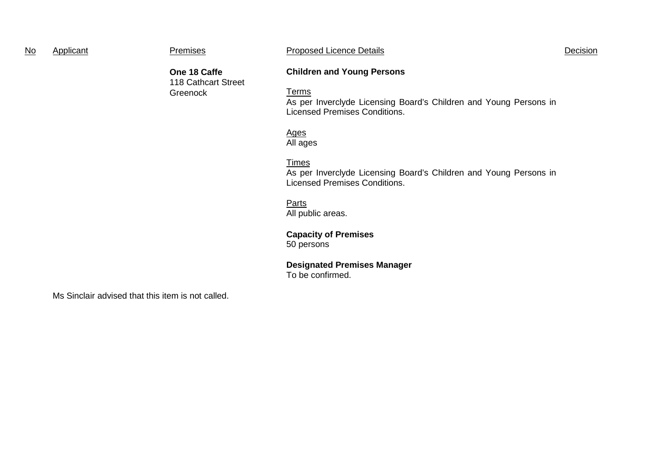| No | Applicant | <b>Premises</b>                     | <b>Proposed Licence Details</b>   | Decision |
|----|-----------|-------------------------------------|-----------------------------------|----------|
|    |           | One 18 Caffe<br>118 Cathcart Street | <b>Children and Young Persons</b> |          |
|    |           | Greenock                            | <u> Ferms</u>                     |          |

As per Inverclyde Licensing Board's Children and Young Persons in Licensed Premises Conditions.

#### Ages All ages

Times

As per Inverclyde Licensing Board's Children and Young Persons in Licensed Premises Conditions.

# **Parts**

All public areas.

## **Capacity of Premises** 50 persons

#### **Designated Premises Manager** To be confirmed.

Ms Sinclair advised that this item is not called.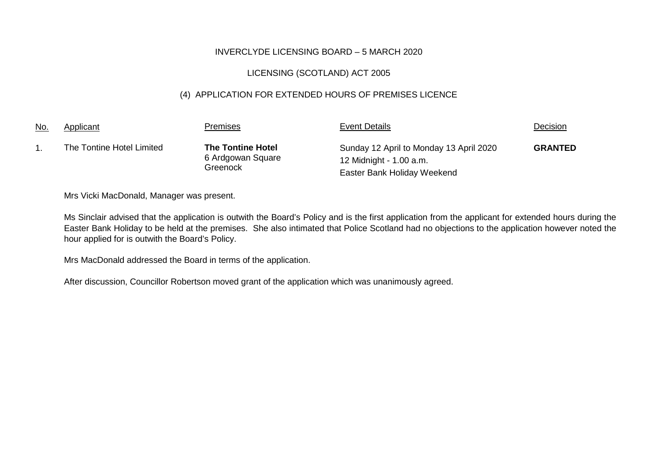# LICENSING (SCOTLAND) ACT 2005

# (4) APPLICATION FOR EXTENDED HOURS OF PREMISES LICENCE

| <u>No.</u> | Applicant                 | Premises                                                  | <b>Event Details</b>                                                                              | Decision       |
|------------|---------------------------|-----------------------------------------------------------|---------------------------------------------------------------------------------------------------|----------------|
|            | The Tontine Hotel Limited | <b>The Tontine Hotel</b><br>6 Ardgowan Square<br>Greenock | Sunday 12 April to Monday 13 April 2020<br>12 Midnight - 1.00 a.m.<br>Easter Bank Holiday Weekend | <b>GRANTED</b> |

Mrs Vicki MacDonald, Manager was present.

Ms Sinclair advised that the application is outwith the Board's Policy and is the first application from the applicant for extended hours during the Easter Bank Holiday to be held at the premises. She also intimated that Police Scotland had no objections to the application however noted the hour applied for is outwith the Board's Policy.

Mrs MacDonald addressed the Board in terms of the application.

After discussion, Councillor Robertson moved grant of the application which was unanimously agreed.